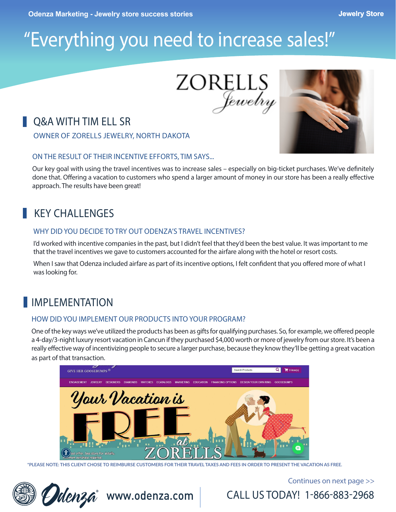# "Everything you need to increase sales!"

ZORELLS Jewelry

# **O&A WITH TIM ELL SR**

OWNER OF ZORELLS JEWELRY, NORTH DAKOTA

#### ON THE RESULT OF THEIR INCENTIVE EFFORTS, TIM SAYS...

Our key goal with using the travel incentives was to increase sales – especially on big-ticket purchases. We've definitely done that. Offering a vacation to customers who spend a larger amount of money in our store has been a really effective approach. The results have been great!

# KEY CHALLENGES

#### WHY DID YOU DECIDE TO TRY OUT ODENZA'S TRAVEL INCENTIVES?

I'd worked with incentive companies in the past, but I didn't feel that they'd been the best value. It was important to me that the travel incentives we gave to customers accounted for the airfare along with the hotel or resort costs.

When I saw that Odenza included airfare as part of its incentive options, I felt confident that you offered more of what I was looking for.

# **IMPLEMENTATION**

#### HOW DID YOU IMPLEMENT OUR PRODUCTS INTO YOUR PROGRAM?

One of the key ways we've utilized the products has been as gifts for qualifying purchases. So, for example, we offered people a 4-day/3-night luxury resort vacation in Cancun if they purchased \$4,000 worth or more of jewelry from our store. It's been a really effective way of incentivizing people to secure a larger purchase, because they know they'll be getting a great vacation as part of that transaction.



**\*PLEASE NOTE: THIS CLIENT CHOSE TO REIMBURSE CUSTOMERS FOR THEIR TRAVEL TAXES AND FEES IN ORDER TO PRESENT THE VACATION AS FREE.**



Continues on next page >>